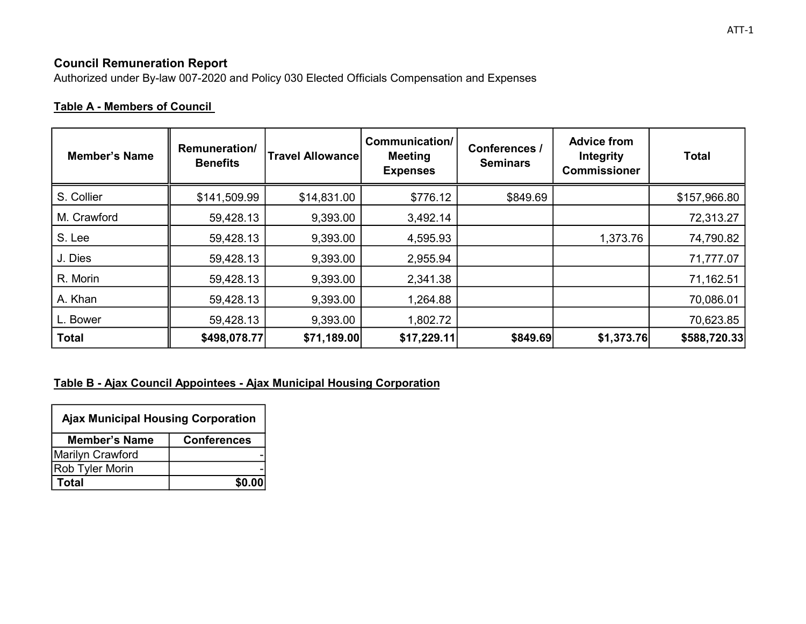# Council Remuneration Report

Authorized under By-law 007-2020 and Policy 030 Elected Officials Compensation and Expenses

# Table A - Members of Council

| <b>Member's Name</b> | Remuneration/<br><b>Benefits</b> | <b>Travel Allowance</b> | Communication/<br><b>Meeting</b><br><b>Expenses</b> | Conferences /<br><b>Seminars</b> | <b>Advice from</b><br><b>Integrity</b><br><b>Commissioner</b> | <b>Total</b> |
|----------------------|----------------------------------|-------------------------|-----------------------------------------------------|----------------------------------|---------------------------------------------------------------|--------------|
| S. Collier           | \$141,509.99                     | \$14,831.00             | \$776.12                                            | \$849.69                         |                                                               | \$157,966.80 |
| M. Crawford          | 59,428.13                        | 9,393.00                | 3,492.14                                            |                                  |                                                               | 72,313.27    |
| S. Lee               | 59,428.13                        | 9,393.00                | 4,595.93                                            |                                  | 1,373.76                                                      | 74,790.82    |
| J. Dies              | 59,428.13                        | 9,393.00                | 2,955.94                                            |                                  |                                                               | 71,777.07    |
| R. Morin             | 59,428.13                        | 9,393.00                | 2,341.38                                            |                                  |                                                               | 71,162.51    |
| A. Khan              | 59,428.13                        | 9,393.00                | 1,264.88                                            |                                  |                                                               | 70,086.01    |
| L. Bower             | 59,428.13                        | 9,393.00                | 1,802.72                                            |                                  |                                                               | 70,623.85    |
| <b>Total</b>         | \$498,078.77                     | \$71,189.00             | \$17,229.11                                         | \$849.69                         | \$1,373.76                                                    | \$588,720.33 |

#### Table B - Ajax Council Appointees - Ajax Municipal Housing Corporation

| <b>Ajax Municipal Housing Corporation</b>  |        |  |
|--------------------------------------------|--------|--|
| <b>Member's Name</b><br><b>Conferences</b> |        |  |
| <b>Marilyn Crawford</b>                    |        |  |
| Rob Tyler Morin                            |        |  |
| Total                                      | \$0.00 |  |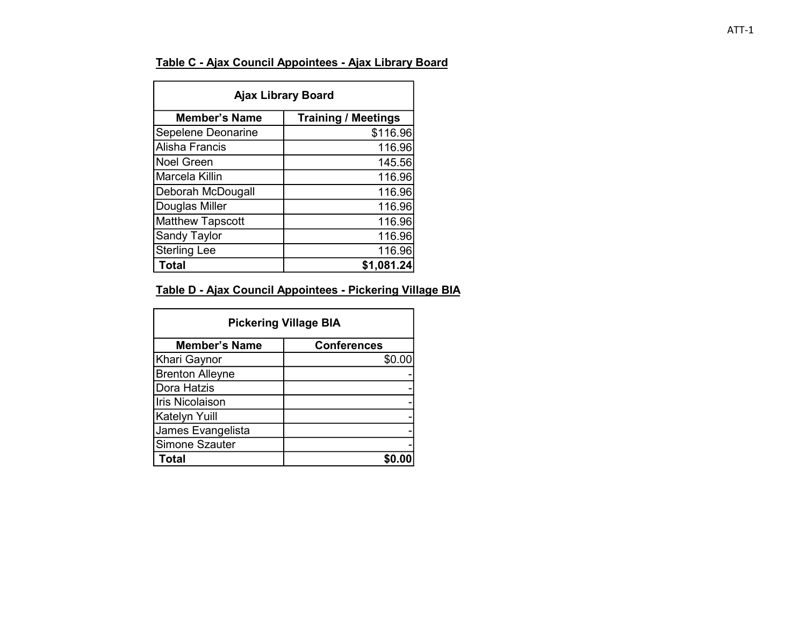### Table C - Ajax Council Appointees - Ajax Library Board

| <b>Ajax Library Board</b> |                            |  |  |
|---------------------------|----------------------------|--|--|
| <b>Member's Name</b>      | <b>Training / Meetings</b> |  |  |
| Sepelene Deonarine        | \$116.96                   |  |  |
| <b>Alisha Francis</b>     | 116.96                     |  |  |
| <b>Noel Green</b>         | 145.56                     |  |  |
| Marcela Killin            | 116.96                     |  |  |
| Deborah McDougall         | 116.96                     |  |  |
| Douglas Miller            | 116.96                     |  |  |
| <b>Matthew Tapscott</b>   | 116.96                     |  |  |
| <b>Sandy Taylor</b>       | 116.96                     |  |  |
| <b>Sterling Lee</b>       | 116.96                     |  |  |
| <b>Total</b>              | \$1,081.24                 |  |  |

### Table D - Ajax Council Appointees - Pickering Village BIA

| <b>Pickering Village BIA</b> |                    |  |  |
|------------------------------|--------------------|--|--|
| <b>Member's Name</b>         | <b>Conferences</b> |  |  |
| Khari Gaynor                 | \$0.00             |  |  |
| <b>Brenton Alleyne</b>       |                    |  |  |
| Dora Hatzis                  |                    |  |  |
| <b>Iris Nicolaison</b>       |                    |  |  |
| Katelyn Yuill                |                    |  |  |
| James Evangelista            |                    |  |  |
| Simone Szauter               |                    |  |  |
| <b>Total</b>                 |                    |  |  |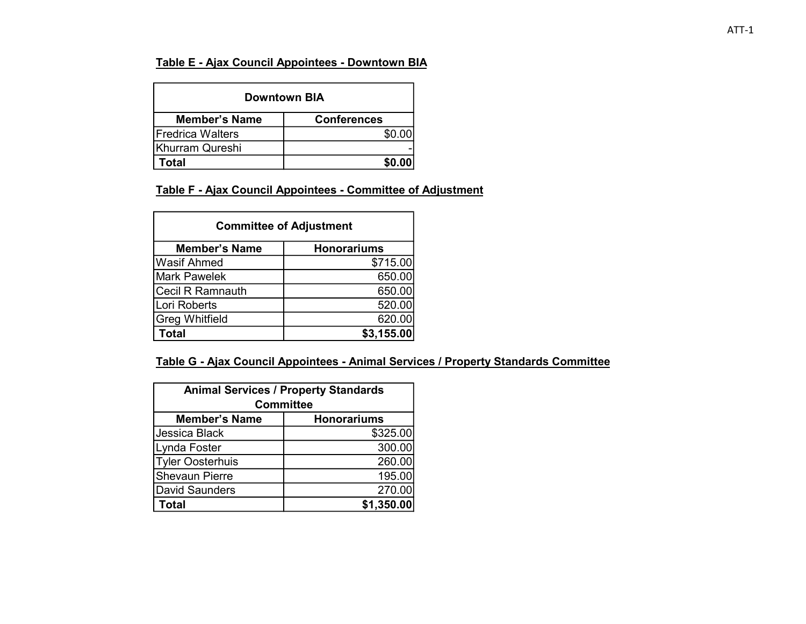#### Table E - Ajax Council Appointees - Downtown BIA

| <b>Downtown BIA</b>                        |        |  |  |
|--------------------------------------------|--------|--|--|
| <b>Member's Name</b><br><b>Conferences</b> |        |  |  |
| <b>IFredrica Walters</b>                   | \$0.00 |  |  |
| Khurram Qureshi                            |        |  |  |
| Total                                      | \$0.00 |  |  |

#### Table F - Ajax Council Appointees - Committee of Adjustment

| <b>Committee of Adjustment</b> |                    |  |  |
|--------------------------------|--------------------|--|--|
| <b>Member's Name</b>           | <b>Honorariums</b> |  |  |
| <b>Wasif Ahmed</b>             | \$715.00           |  |  |
| <b>Mark Pawelek</b>            | 650.00             |  |  |
| <b>Cecil R Ramnauth</b>        | 650.00             |  |  |
| Lori Roberts                   | 520.00             |  |  |
| <b>Greg Whitfield</b>          | 620.00             |  |  |
| Total                          | \$3,155.00         |  |  |

#### Table G - Ajax Council Appointees - Animal Services / Property Standards Committee

| <b>Animal Services / Property Standards</b><br><b>Committee</b> |            |  |  |
|-----------------------------------------------------------------|------------|--|--|
| <b>Member's Name</b><br><b>Honorariums</b>                      |            |  |  |
| Jessica Black                                                   | \$325.00   |  |  |
| Lynda Foster                                                    | 300.00     |  |  |
| <b>Tyler Oosterhuis</b>                                         | 260.00     |  |  |
| <b>Shevaun Pierre</b>                                           | 195.00     |  |  |
| <b>David Saunders</b>                                           | 270.00     |  |  |
| Total                                                           | \$1,350.00 |  |  |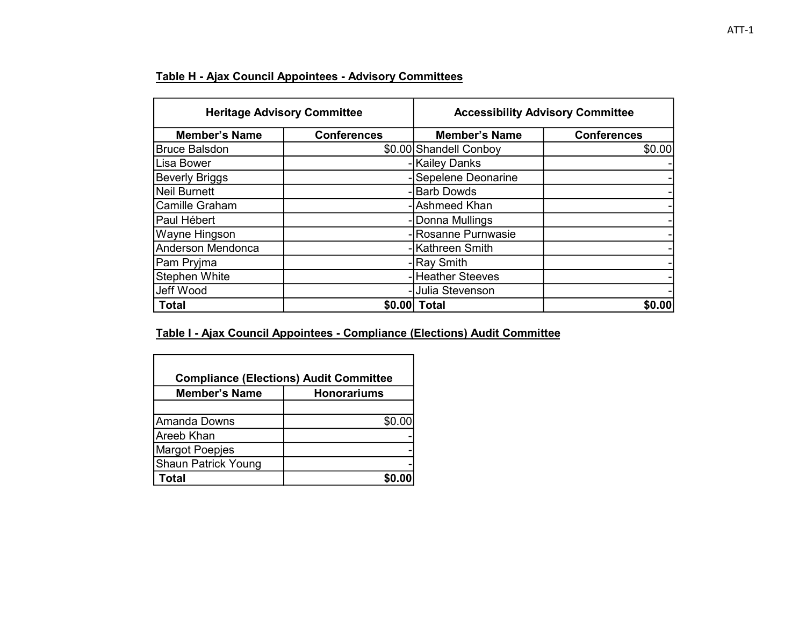### Table H - Ajax Council Appointees - Advisory Committees

| <b>Heritage Advisory Committee</b> |                    | <b>Accessibility Advisory Committee</b> |                    |
|------------------------------------|--------------------|-----------------------------------------|--------------------|
| <b>Member's Name</b>               | <b>Conferences</b> | <b>Member's Name</b>                    | <b>Conferences</b> |
| <b>Bruce Balsdon</b>               |                    | \$0.00 Shandell Conboy                  | \$0.00             |
| Lisa Bower                         |                    | -Kailey Danks                           |                    |
| <b>Beverly Briggs</b>              |                    | -Sepelene Deonarine                     |                    |
| İNeil Burnett                      |                    | -Barb Dowds                             |                    |
| Camille Graham                     |                    | - Ashmeed Khan                          |                    |
| Paul Hébert                        |                    | - Donna Mullings                        |                    |
| <b>Wayne Hingson</b>               |                    | - Rosanne Purnwasie                     |                    |
| Anderson Mendonca                  |                    | - Kathreen Smith                        |                    |
| Pam Pryjma                         |                    | - Ray Smith                             |                    |
| Stephen White                      |                    | -Heather Steeves                        |                    |
| Jeff Wood                          |                    | - Julia Stevenson                       |                    |
| <b>Total</b>                       | \$0.00             | <b>Total</b>                            | \$0.00             |

### Table I - Ajax Council Appointees - Compliance (Elections) Audit Committee

| <b>Compliance (Elections) Audit Committee</b> |        |  |  |
|-----------------------------------------------|--------|--|--|
| <b>Member's Name</b><br><b>Honorariums</b>    |        |  |  |
|                                               |        |  |  |
| Amanda Downs                                  | \$0.00 |  |  |
| <b>Areeb Khan</b>                             |        |  |  |
| <b>Margot Poepjes</b>                         |        |  |  |
| <b>Shaun Patrick Young</b>                    |        |  |  |
| <b>Total</b>                                  |        |  |  |